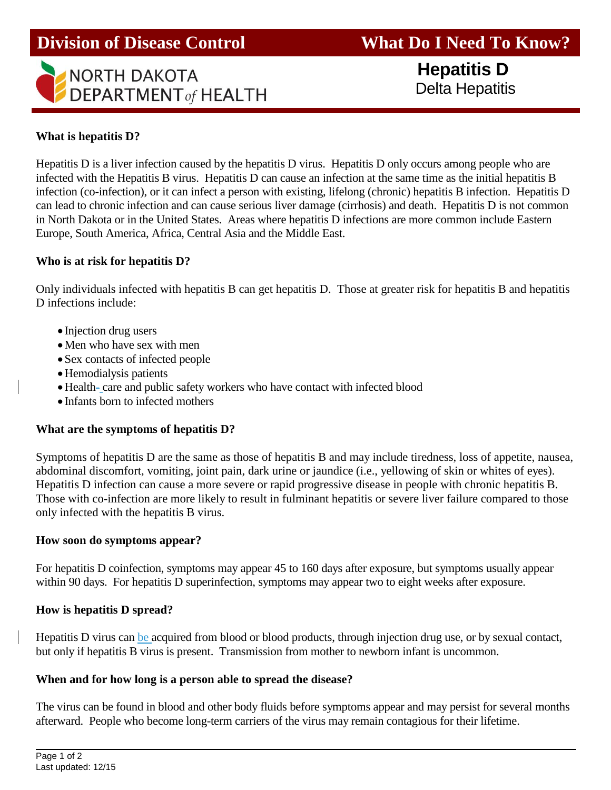

**Division of Disease Control What Do I Need To Know?** 

 **Hepatitis D** Delta Hepatitis

### **What is hepatitis D?**

Hepatitis D is a liver infection caused by the hepatitis D virus. Hepatitis D only occurs among people who are infected with the Hepatitis B virus. Hepatitis D can cause an infection at the same time as the initial hepatitis B infection (co-infection), or it can infect a person with existing, lifelong (chronic) hepatitis B infection. Hepatitis D can lead to chronic infection and can cause serious liver damage (cirrhosis) and death. Hepatitis D is not common in North Dakota or in the United States. Areas where hepatitis D infections are more common include Eastern Europe, South America, Africa, Central Asia and the Middle East.

#### **Who is at risk for hepatitis D?**

Only individuals infected with hepatitis B can get hepatitis D. Those at greater risk for hepatitis B and hepatitis D infections include:

- Injection drug users
- Men who have sex with men
- Sex contacts of infected people
- Hemodialysis patients
- Health- care and public safety workers who have contact with infected blood
- Infants born to infected mothers

#### **What are the symptoms of hepatitis D?**

Symptoms of hepatitis D are the same as those of hepatitis B and may include tiredness, loss of appetite, nausea, abdominal discomfort, vomiting, joint pain, dark urine or jaundice (i.e., yellowing of skin or whites of eyes). Hepatitis D infection can cause a more severe or rapid progressive disease in people with chronic hepatitis B. Those with co-infection are more likely to result in fulminant hepatitis or severe liver failure compared to those only infected with the hepatitis B virus.

#### **How soon do symptoms appear?**

For hepatitis D coinfection, symptoms may appear 45 to 160 days after exposure, but symptoms usually appear within 90 days. For hepatitis D superinfection, symptoms may appear two to eight weeks after exposure.

#### **How is hepatitis D spread?**

Hepatitis D virus can be acquired from blood or blood products, through injection drug use, or by sexual contact, but only if hepatitis B virus is present. Transmission from mother to newborn infant is uncommon.

#### **When and for how long is a person able to spread the disease?**

The virus can be found in blood and other body fluids before symptoms appear and may persist for several months afterward. People who become long-term carriers of the virus may remain contagious for their lifetime.